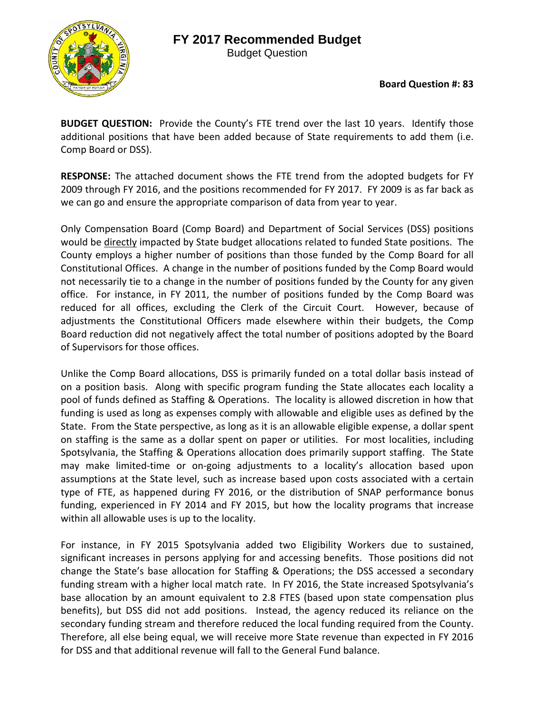## **FY 2017 Recommended Budget**



Budget Question

**Board Question #: 83**

**BUDGET QUESTION:** Provide the County's FTE trend over the last 10 years. Identify those additional positions that have been added because of State requirements to add them (i.e. Comp Board or DSS).

**RESPONSE:** The attached document shows the FTE trend from the adopted budgets for FY 2009 through FY 2016, and the positions recommended for FY 2017. FY 2009 is as far back as we can go and ensure the appropriate comparison of data from year to year.

Only Compensation Board (Comp Board) and Department of Social Services (DSS) positions would be directly impacted by State budget allocations related to funded State positions. The County employs a higher number of positions than those funded by the Comp Board for all Constitutional Offices. A change in the number of positions funded by the Comp Board would not necessarily tie to a change in the number of positions funded by the County for any given office. For instance, in FY 2011, the number of positions funded by the Comp Board was reduced for all offices, excluding the Clerk of the Circuit Court. However, because of adjustments the Constitutional Officers made elsewhere within their budgets, the Comp Board reduction did not negatively affect the total number of positions adopted by the Board of Supervisors for those offices.

Unlike the Comp Board allocations, DSS is primarily funded on a total dollar basis instead of on a position basis. Along with specific program funding the State allocates each locality a pool of funds defined as Staffing & Operations. The locality is allowed discretion in how that funding is used as long as expenses comply with allowable and eligible uses as defined by the State. From the State perspective, as long as it is an allowable eligible expense, a dollar spent on staffing is the same as a dollar spent on paper or utilities. For most localities, including Spotsylvania, the Staffing & Operations allocation does primarily support staffing. The State may make limited‐time or on‐going adjustments to a locality's allocation based upon assumptions at the State level, such as increase based upon costs associated with a certain type of FTE, as happened during FY 2016, or the distribution of SNAP performance bonus funding, experienced in FY 2014 and FY 2015, but how the locality programs that increase within all allowable uses is up to the locality.

For instance, in FY 2015 Spotsylvania added two Eligibility Workers due to sustained, significant increases in persons applying for and accessing benefits. Those positions did not change the State's base allocation for Staffing & Operations; the DSS accessed a secondary funding stream with a higher local match rate. In FY 2016, the State increased Spotsylvania's base allocation by an amount equivalent to 2.8 FTES (based upon state compensation plus benefits), but DSS did not add positions. Instead, the agency reduced its reliance on the secondary funding stream and therefore reduced the local funding required from the County. Therefore, all else being equal, we will receive more State revenue than expected in FY 2016 for DSS and that additional revenue will fall to the General Fund balance.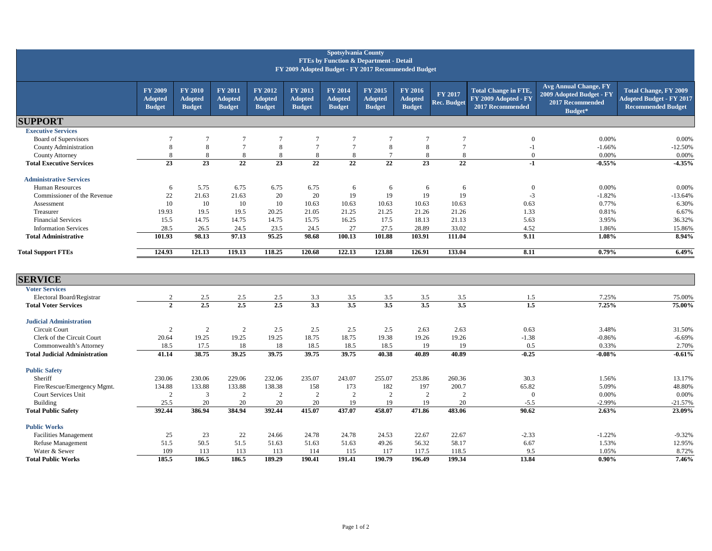| <b>Spotsylvania County</b><br><b>FTEs by Function &amp; Department - Detail</b><br>FY 2009 Adopted Budget - FY 2017 Recommended Budget |                                                   |                                                   |                                            |                                            |                                            |                                            |                                            |                                                   |                               |                                                                         |                                                                                         |                                                                                              |
|----------------------------------------------------------------------------------------------------------------------------------------|---------------------------------------------------|---------------------------------------------------|--------------------------------------------|--------------------------------------------|--------------------------------------------|--------------------------------------------|--------------------------------------------|---------------------------------------------------|-------------------------------|-------------------------------------------------------------------------|-----------------------------------------------------------------------------------------|----------------------------------------------------------------------------------------------|
|                                                                                                                                        | <b>FY 2009</b><br><b>Adopted</b><br><b>Budget</b> | <b>FY 2010</b><br><b>Adopted</b><br><b>Budget</b> | FY 2011<br><b>Adopted</b><br><b>Budget</b> | FY 2012<br><b>Adopted</b><br><b>Budget</b> | FY 2013<br><b>Adopted</b><br><b>Budget</b> | FY 2014<br><b>Adopted</b><br><b>Budget</b> | FY 2015<br><b>Adopted</b><br><b>Budget</b> | <b>FY 2016</b><br><b>Adopted</b><br><b>Budget</b> | FY 2017<br><b>Rec. Budget</b> | <b>Total Change in FTE,</b><br>FY 2009 Adopted - FY<br>2017 Recommended | <b>Avg Annual Change, FY</b><br>2009 Adopted Budget - FY<br>2017 Recommended<br>Budget* | <b>Total Change, FY 2009</b><br><b>Adopted Budget - FY 2017</b><br><b>Recommended Budget</b> |
| <b>SUPPORT</b>                                                                                                                         |                                                   |                                                   |                                            |                                            |                                            |                                            |                                            |                                                   |                               |                                                                         |                                                                                         |                                                                                              |
| <b>Executive Services</b>                                                                                                              |                                                   |                                                   |                                            |                                            |                                            |                                            |                                            |                                                   |                               |                                                                         |                                                                                         |                                                                                              |
| Board of Supervisors                                                                                                                   | $\overline{7}$                                    | $\overline{7}$                                    | $\tau$                                     | $\overline{7}$                             | $\overline{7}$                             | $\overline{7}$                             | $\overline{7}$                             | $\overline{7}$                                    | $\overline{7}$                | $\mathbf{0}$                                                            | 0.00%                                                                                   | 0.00%                                                                                        |
| County Administration                                                                                                                  | 8                                                 | 8                                                 | $\overline{7}$                             | 8                                          | $7\phantom{.0}$                            | $7\phantom{.0}$                            | 8                                          | 8                                                 | $7\phantom{.0}$               | $-1$                                                                    | $-1.66%$                                                                                | $-12.50%$                                                                                    |
| County Attorney                                                                                                                        | 8                                                 | 8                                                 | 8                                          | 8                                          | 8                                          | 8                                          | 7                                          | 8                                                 | 8                             | $\mathbf{0}$                                                            | 0.00%                                                                                   | 0.00%                                                                                        |
| <b>Total Executive Services</b>                                                                                                        | $\overline{23}$                                   | $\overline{23}$                                   | $\overline{22}$                            | $\overline{23}$                            | $\overline{22}$                            | $\overline{22}$                            | $\overline{22}$                            | $\overline{23}$                                   | $\overline{22}$               | $-1$                                                                    | $-0.55%$                                                                                | $-4.35%$                                                                                     |
| <b>Administrative Services</b>                                                                                                         |                                                   |                                                   |                                            |                                            |                                            |                                            |                                            |                                                   |                               |                                                                         |                                                                                         |                                                                                              |
| <b>Human Resources</b>                                                                                                                 | 6                                                 | 5.75                                              | 6.75                                       | 6.75                                       | 6.75                                       | 6                                          | 6                                          | 6                                                 | 6                             | $\overline{0}$                                                          | 0.00%                                                                                   | 0.00%                                                                                        |
| Commissioner of the Revenue                                                                                                            | 22                                                | 21.63                                             | 21.63                                      | 20                                         | 20                                         | 19                                         | 19                                         | 19                                                | 19                            | $-3$                                                                    | $-1.82%$                                                                                | $-13.64%$                                                                                    |
| Assessment                                                                                                                             | 10                                                | 10                                                | 10                                         | 10                                         | 10.63                                      | 10.63                                      | 10.63                                      | 10.63                                             | 10.63                         | 0.63                                                                    | 0.77%                                                                                   | 6.30%                                                                                        |
| Treasurer                                                                                                                              | 19.93                                             | 19.5                                              | 19.5                                       | 20.25                                      | 21.05                                      | 21.25                                      | 21.25                                      | 21.26                                             | 21.26                         | 1.33                                                                    | 0.81%                                                                                   | 6.67%                                                                                        |
| <b>Financial Services</b>                                                                                                              | 15.5                                              | 14.75                                             | 14.75                                      | 14.75                                      | 15.75                                      | 16.25                                      | 17.5                                       | 18.13                                             | 21.13                         | 5.63                                                                    | 3.95%                                                                                   | 36.32%                                                                                       |
| <b>Information Services</b>                                                                                                            | 28.5                                              | 26.5                                              | 24.5                                       | 23.5                                       | 24.5                                       | 27                                         | 27.5                                       | 28.89                                             | 33.02                         | 4.52                                                                    | 1.86%                                                                                   | 15.86%                                                                                       |
| <b>Total Administrative</b>                                                                                                            | 101.93                                            | 98.13                                             | 97.13                                      | 95.25                                      | 98.68                                      | 100.13                                     | 101.88                                     | 103.91                                            | 111.04                        | 9.11                                                                    | 1.08%                                                                                   | 8.94%                                                                                        |
| <b>Total Support FTEs</b>                                                                                                              | 124.93                                            | 121.13                                            | 119.13                                     | 118.25                                     | 120.68                                     | 122.13                                     | 123.88                                     | 126.91                                            | 133.04                        | 8.11                                                                    | 0.79%                                                                                   | 6.49%                                                                                        |
| <b>SERVICE</b>                                                                                                                         |                                                   |                                                   |                                            |                                            |                                            |                                            |                                            |                                                   |                               |                                                                         |                                                                                         |                                                                                              |
| <b>Voter Services</b>                                                                                                                  |                                                   |                                                   |                                            |                                            |                                            |                                            |                                            |                                                   |                               |                                                                         |                                                                                         |                                                                                              |
| Electoral Board/Registrar                                                                                                              | 2                                                 | 2.5                                               | 2.5                                        | 2.5                                        | 3.3                                        | 3.5                                        | 3.5                                        | 3.5                                               | 3.5                           | 1.5                                                                     | 7.25%                                                                                   | 75.00%                                                                                       |
| <b>Total Voter Services</b>                                                                                                            | $\overline{2}$                                    | 2.5                                               | 2.5                                        | 2.5                                        | $\overline{3.3}$                           | 3.5                                        | $\overline{3.5}$                           | $\overline{3.5}$                                  | $\overline{3.5}$              | 1.5                                                                     | 7.25%                                                                                   | 75.00%                                                                                       |
| <b>Judicial Administration</b>                                                                                                         |                                                   |                                                   |                                            |                                            |                                            |                                            |                                            |                                                   |                               |                                                                         |                                                                                         |                                                                                              |
| Circuit Court                                                                                                                          | 2                                                 | $\overline{2}$                                    | 2                                          | 2.5                                        | 2.5                                        | 2.5                                        | 2.5                                        | 2.63                                              | 2.63                          | 0.63                                                                    | 3.48%                                                                                   | 31.50%                                                                                       |
| Clerk of the Circuit Court                                                                                                             | 20.64                                             | 19.25                                             | 19.25                                      | 19.25                                      | 18.75                                      | 18.75                                      | 19.38                                      | 19.26                                             | 19.26                         | $-1.38$                                                                 | $-0.86%$                                                                                | $-6.69%$                                                                                     |
| Commonwealth's Attorney                                                                                                                | 18.5                                              | 17.5                                              | 18                                         | 18                                         | 18.5                                       | 18.5                                       | 18.5                                       | 19                                                | 19                            | 0.5                                                                     | 0.33%                                                                                   | 2.70%                                                                                        |
| <b>Total Judicial Administration</b>                                                                                                   | 41.14                                             | 38.75                                             | 39.25                                      | 39.75                                      | 39.75                                      | 39.75                                      | 40.38                                      | 40.89                                             | 40.89                         | $-0.25$                                                                 | $-0.08%$                                                                                | $-0.61%$                                                                                     |
| <b>Public Safety</b>                                                                                                                   |                                                   |                                                   |                                            |                                            |                                            |                                            |                                            |                                                   |                               |                                                                         |                                                                                         |                                                                                              |
| Sheriff                                                                                                                                | 230.06                                            | 230.06                                            | 229.06                                     | 232.06                                     | 235.07                                     | 243.07                                     | 255.07                                     | 253.86                                            | 260.36                        | 30.3                                                                    | 1.56%                                                                                   | 13.17%                                                                                       |
| Fire/Rescue/Emergency Mgmt.                                                                                                            | 134.88                                            | 133.88                                            | 133.88                                     | 138.38                                     | 158                                        | 173                                        | 182                                        | 197                                               | 200.7                         | 65.82                                                                   | 5.09%                                                                                   | 48.80%                                                                                       |
| Court Services Unit                                                                                                                    | 2                                                 | 3                                                 | 2                                          | 2                                          | $\overline{2}$                             | 2                                          | 2                                          | 2                                                 | 2                             | $\overline{0}$                                                          | 0.00%                                                                                   | 0.00%                                                                                        |
| <b>Building</b>                                                                                                                        | 25.5                                              | 20                                                | 20                                         | 20                                         | 20                                         | 19                                         | 19                                         | 19                                                | 20                            | $-5.5$                                                                  | $-2.99%$                                                                                | $-21.57%$                                                                                    |
| <b>Total Public Safety</b>                                                                                                             | 392.44                                            | 386.94                                            | 384.94                                     | 392.44                                     | 415.07                                     | 437.07                                     | 458.07                                     | 471.86                                            | 483.06                        | 90.62                                                                   | 2.63%                                                                                   | 23.09%                                                                                       |
| <b>Public Works</b>                                                                                                                    |                                                   |                                                   |                                            |                                            |                                            |                                            |                                            |                                                   |                               |                                                                         |                                                                                         |                                                                                              |
| <b>Facilities Management</b>                                                                                                           | 25                                                | 23                                                | 22                                         | 24.66                                      | 24.78                                      | 24.78                                      | 24.53                                      | 22.67                                             | 22.67                         | $-2.33$                                                                 | $-1.22%$                                                                                | $-9.32%$                                                                                     |
| Refuse Management                                                                                                                      | 51.5                                              | 50.5                                              | 51.5                                       | 51.63                                      | 51.63                                      | 51.63                                      | 49.26                                      | 56.32                                             | 58.17                         | 6.67                                                                    | 1.53%                                                                                   | 12.95%                                                                                       |
| Water & Sewer                                                                                                                          | 109                                               | 113                                               | 113                                        | 113                                        | 114                                        | 115                                        | 117                                        | 117.5                                             | 118.5                         | 9.5                                                                     | 1.05%                                                                                   | 8.72%                                                                                        |
| <b>Total Public Works</b>                                                                                                              | 185.5                                             | 186.5                                             | 186.5                                      | 189.29                                     | 190.41                                     | 191.41                                     | 190.79                                     | 196.49                                            | 199.34                        | 13.84                                                                   | $0.90\%$                                                                                | 7.46%                                                                                        |